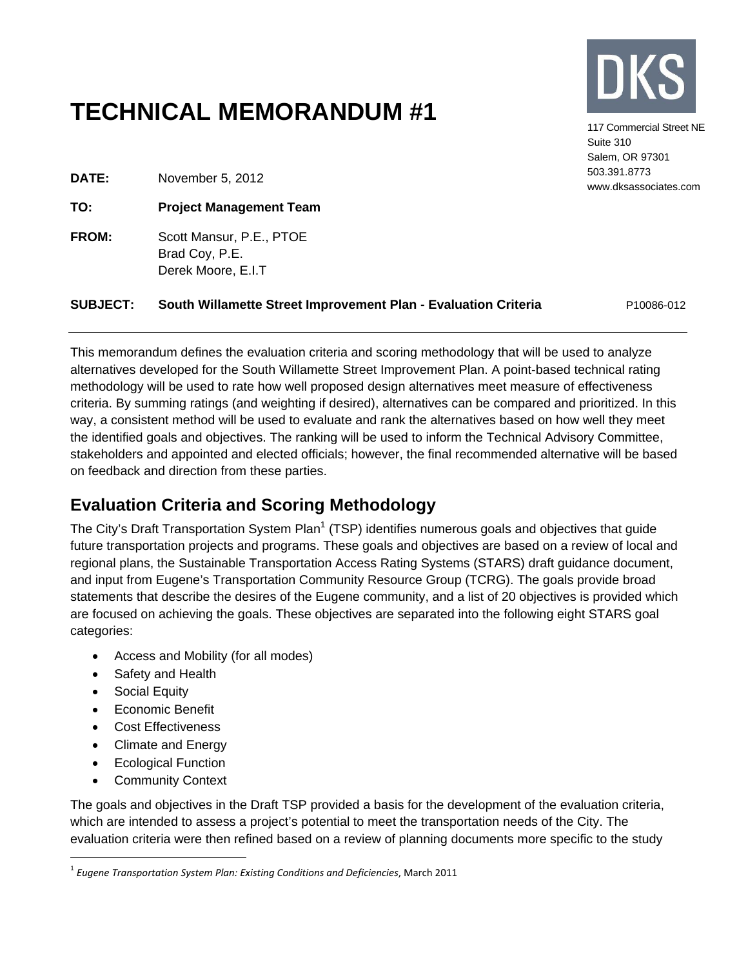# **TECHNICAL MEMORANDUM #1**



117 Commercial Street NE Suite 310 Salem, OR 97301 503.391.8773 www.dksassociates.com

**DATE:** November 5, 2012

**TO: Project Management Team**

**FROM:** Scott Mansur, P.E., PTOE Brad Coy, P.E. Derek Moore, E.I.T

#### **SUBJECT:** South Willamette Street Improvement Plan - Evaluation Criteria P10086-012

This memorandum defines the evaluation criteria and scoring methodology that will be used to analyze alternatives developed for the South Willamette Street Improvement Plan. A point-based technical rating methodology will be used to rate how well proposed design alternatives meet measure of effectiveness criteria. By summing ratings (and weighting if desired), alternatives can be compared and prioritized. In this way, a consistent method will be used to evaluate and rank the alternatives based on how well they meet the identified goals and objectives. The ranking will be used to inform the Technical Advisory Committee, stakeholders and appointed and elected officials; however, the final recommended alternative will be based on feedback and direction from these parties.

## **Evaluation Criteria and Scoring Methodology**

The City's Draft Transportation System Plan<sup>1</sup> (TSP) identifies numerous goals and objectives that guide future transportation projects and programs. These goals and objectives are based on a review of local and regional plans, the Sustainable Transportation Access Rating Systems (STARS) draft guidance document, and input from Eugene's Transportation Community Resource Group (TCRG). The goals provide broad statements that describe the desires of the Eugene community, and a list of 20 objectives is provided which are focused on achieving the goals. These objectives are separated into the following eight STARS goal categories:

- Access and Mobility (for all modes)
- Safety and Health
- Social Equity

 $\overline{a}$ 

- Economic Benefit
- Cost Effectiveness
- Climate and Energy
- Ecological Function
- Community Context

The goals and objectives in the Draft TSP provided a basis for the development of the evaluation criteria, which are intended to assess a project's potential to meet the transportation needs of the City. The evaluation criteria were then refined based on a review of planning documents more specific to the study

<sup>1</sup> *Eugene Transportation System Plan: Existing Conditions and Deficiencies*, March 2011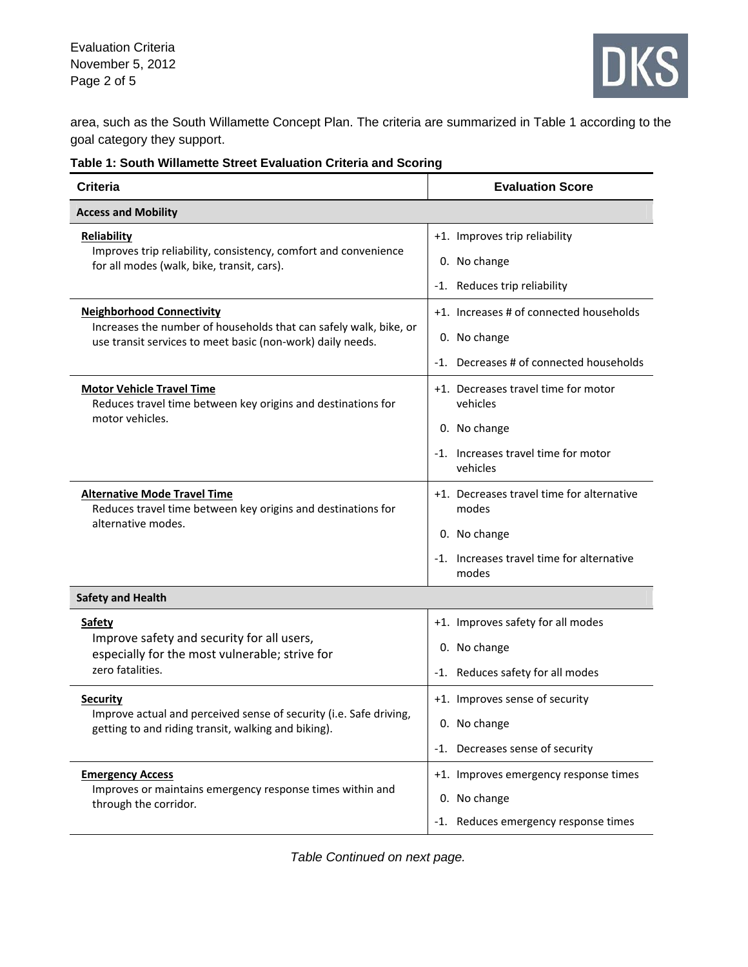Evaluation Criteria November 5, 2012 Page 2 of 5



area, such as the South Willamette Concept Plan. The criteria are summarized in Table 1 according to the goal category they support.

|  |  |  | Table 1: South Willamette Street Evaluation Criteria and Scoring |
|--|--|--|------------------------------------------------------------------|
|  |  |  |                                                                  |

| <b>Criteria</b>                                                                                                                 | <b>Evaluation Score</b>                            |  |  |
|---------------------------------------------------------------------------------------------------------------------------------|----------------------------------------------------|--|--|
| <b>Access and Mobility</b>                                                                                                      |                                                    |  |  |
| <b>Reliability</b>                                                                                                              | +1. Improves trip reliability                      |  |  |
| Improves trip reliability, consistency, comfort and convenience<br>for all modes (walk, bike, transit, cars).                   | 0. No change                                       |  |  |
|                                                                                                                                 | -1. Reduces trip reliability                       |  |  |
| <b>Neighborhood Connectivity</b>                                                                                                | +1. Increases # of connected households            |  |  |
| Increases the number of households that can safely walk, bike, or<br>use transit services to meet basic (non-work) daily needs. | 0. No change                                       |  |  |
|                                                                                                                                 | -1. Decreases # of connected households            |  |  |
| <b>Motor Vehicle Travel Time</b><br>Reduces travel time between key origins and destinations for                                | +1. Decreases travel time for motor<br>vehicles    |  |  |
| motor vehicles.                                                                                                                 | 0. No change                                       |  |  |
|                                                                                                                                 | -1. Increases travel time for motor<br>vehicles    |  |  |
| <b>Alternative Mode Travel Time</b><br>Reduces travel time between key origins and destinations for                             | +1. Decreases travel time for alternative<br>modes |  |  |
| alternative modes.                                                                                                              | 0. No change                                       |  |  |
|                                                                                                                                 | -1. Increases travel time for alternative<br>modes |  |  |
| <b>Safety and Health</b>                                                                                                        |                                                    |  |  |
| <b>Safety</b>                                                                                                                   | +1. Improves safety for all modes                  |  |  |
| Improve safety and security for all users,<br>especially for the most vulnerable; strive for                                    | 0. No change                                       |  |  |
| zero fatalities.                                                                                                                | -1. Reduces safety for all modes                   |  |  |
| <b>Security</b>                                                                                                                 | +1. Improves sense of security                     |  |  |
| Improve actual and perceived sense of security (i.e. Safe driving,<br>getting to and riding transit, walking and biking).       | 0. No change                                       |  |  |
|                                                                                                                                 | -1. Decreases sense of security                    |  |  |
| <b>Emergency Access</b>                                                                                                         | +1. Improves emergency response times              |  |  |
| Improves or maintains emergency response times within and<br>through the corridor.                                              | 0. No change                                       |  |  |
|                                                                                                                                 | -1. Reduces emergency response times               |  |  |

*Table Continued on next page.*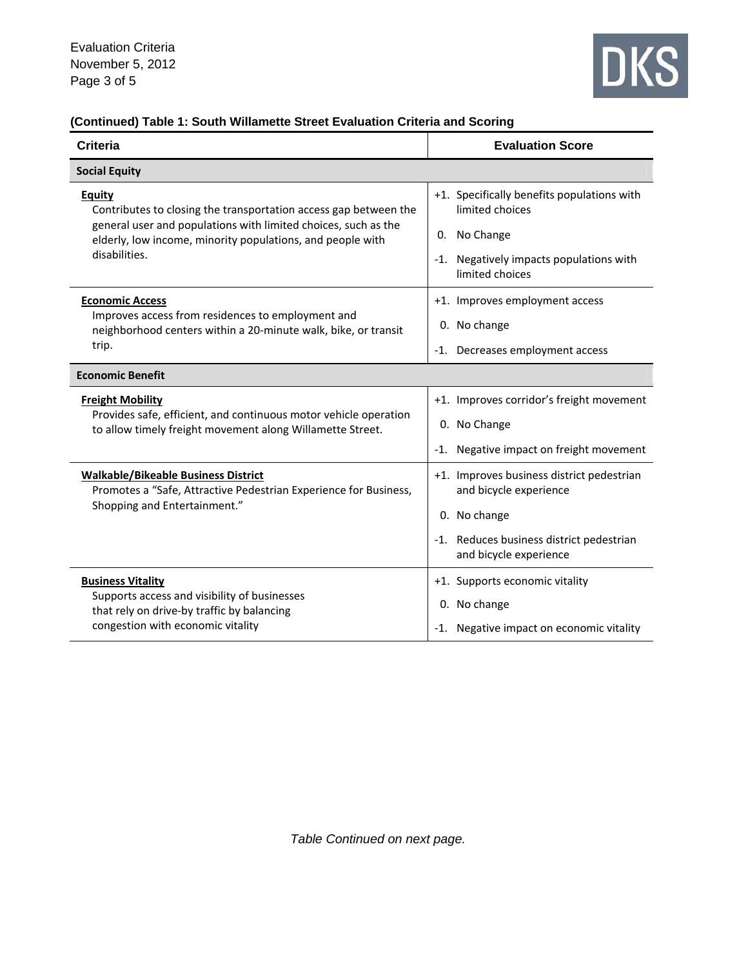

## **(Continued) Table 1: South Willamette Street Evaluation Criteria and Scoring**

| <b>Criteria</b>                                                                                                                                     | <b>Evaluation Score</b>                                                       |  |  |
|-----------------------------------------------------------------------------------------------------------------------------------------------------|-------------------------------------------------------------------------------|--|--|
| <b>Social Equity</b>                                                                                                                                |                                                                               |  |  |
| <b>Equity</b><br>Contributes to closing the transportation access gap between the<br>general user and populations with limited choices, such as the | +1. Specifically benefits populations with<br>limited choices<br>0. No Change |  |  |
| elderly, low income, minority populations, and people with<br>disabilities.                                                                         | -1. Negatively impacts populations with<br>limited choices                    |  |  |
| <b>Economic Access</b>                                                                                                                              | +1. Improves employment access                                                |  |  |
| Improves access from residences to employment and<br>neighborhood centers within a 20-minute walk, bike, or transit                                 | 0. No change                                                                  |  |  |
| trip.                                                                                                                                               | -1. Decreases employment access                                               |  |  |
| <b>Economic Benefit</b>                                                                                                                             |                                                                               |  |  |
| <b>Freight Mobility</b>                                                                                                                             | +1. Improves corridor's freight movement                                      |  |  |
| Provides safe, efficient, and continuous motor vehicle operation<br>to allow timely freight movement along Willamette Street.                       | 0. No Change                                                                  |  |  |
|                                                                                                                                                     | -1. Negative impact on freight movement                                       |  |  |
| <b>Walkable/Bikeable Business District</b><br>Promotes a "Safe, Attractive Pedestrian Experience for Business,<br>Shopping and Entertainment."      | +1. Improves business district pedestrian<br>and bicycle experience           |  |  |
|                                                                                                                                                     | 0. No change                                                                  |  |  |
|                                                                                                                                                     | -1. Reduces business district pedestrian<br>and bicycle experience            |  |  |
| <b>Business Vitality</b>                                                                                                                            | +1. Supports economic vitality                                                |  |  |
| Supports access and visibility of businesses<br>that rely on drive-by traffic by balancing                                                          | 0. No change                                                                  |  |  |
| congestion with economic vitality                                                                                                                   | -1. Negative impact on economic vitality                                      |  |  |

*Table Continued on next page.*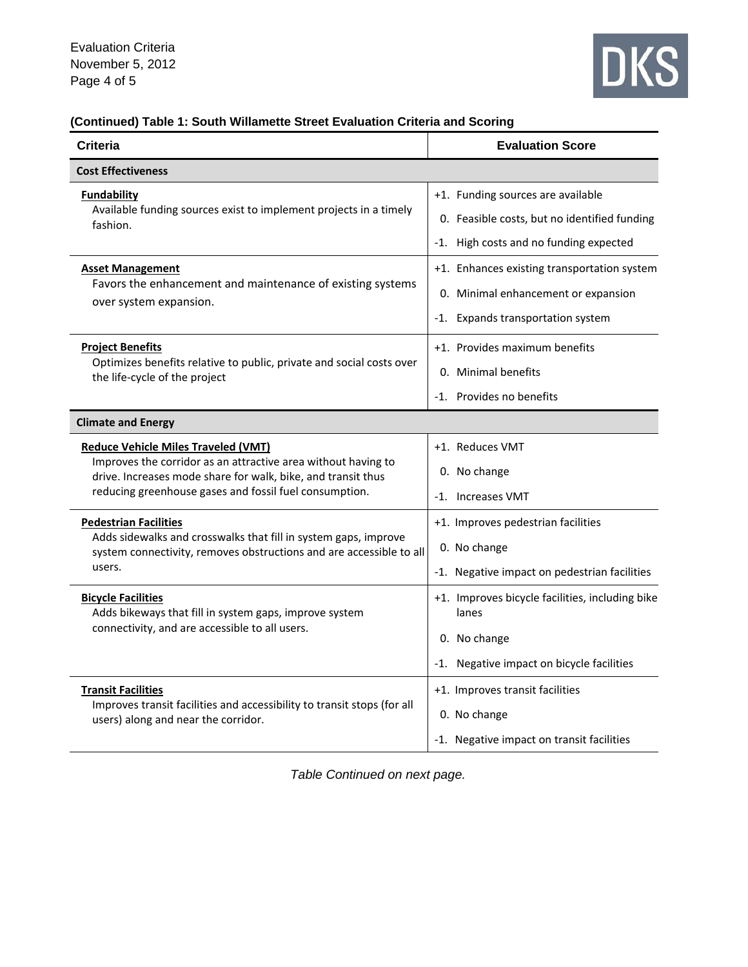

### **(Continued) Table 1: South Willamette Street Evaluation Criteria and Scoring**

| Criteria                                                                                                                                                                                                                              | <b>Evaluation Score</b>                                                                                                     |  |  |
|---------------------------------------------------------------------------------------------------------------------------------------------------------------------------------------------------------------------------------------|-----------------------------------------------------------------------------------------------------------------------------|--|--|
| <b>Cost Effectiveness</b>                                                                                                                                                                                                             |                                                                                                                             |  |  |
| <b>Fundability</b><br>Available funding sources exist to implement projects in a timely<br>fashion.                                                                                                                                   | +1. Funding sources are available<br>0. Feasible costs, but no identified funding<br>-1. High costs and no funding expected |  |  |
| <b>Asset Management</b><br>Favors the enhancement and maintenance of existing systems<br>over system expansion.                                                                                                                       | +1. Enhances existing transportation system<br>0. Minimal enhancement or expansion<br>-1. Expands transportation system     |  |  |
| <b>Project Benefits</b><br>Optimizes benefits relative to public, private and social costs over<br>the life-cycle of the project                                                                                                      | +1. Provides maximum benefits<br>0. Minimal benefits<br>-1. Provides no benefits                                            |  |  |
| <b>Climate and Energy</b>                                                                                                                                                                                                             |                                                                                                                             |  |  |
| <b>Reduce Vehicle Miles Traveled (VMT)</b><br>Improves the corridor as an attractive area without having to<br>drive. Increases mode share for walk, bike, and transit thus<br>reducing greenhouse gases and fossil fuel consumption. | +1. Reduces VMT<br>0. No change<br>-1. Increases VMT                                                                        |  |  |
| <b>Pedestrian Facilities</b><br>Adds sidewalks and crosswalks that fill in system gaps, improve<br>system connectivity, removes obstructions and are accessible to all<br>users.                                                      | +1. Improves pedestrian facilities<br>0. No change<br>-1. Negative impact on pedestrian facilities                          |  |  |
| <b>Bicycle Facilities</b><br>Adds bikeways that fill in system gaps, improve system<br>connectivity, and are accessible to all users.                                                                                                 | +1. Improves bicycle facilities, including bike<br>lanes<br>0. No change<br>-1. Negative impact on bicycle facilities       |  |  |
| <b>Transit Facilities</b><br>Improves transit facilities and accessibility to transit stops (for all<br>users) along and near the corridor.                                                                                           | +1. Improves transit facilities<br>0. No change<br>-1. Negative impact on transit facilities                                |  |  |

*Table Continued on next page.*